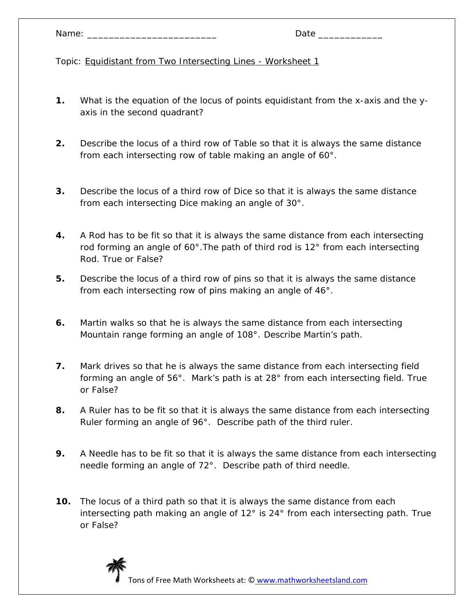- **1.** What is the equation of the locus of points equidistant from the x-axis and the yaxis in the second quadrant?
- **2.** Describe the locus of a third row of Table so that it is always the same distance from each intersecting row of table making an angle of 60°.
- **3.** Describe the locus of a third row of Dice so that it is always the same distance from each intersecting Dice making an angle of 30°.
- **4.** A Rod has to be fit so that it is always the same distance from each intersecting rod forming an angle of 60°.The path of third rod is 12° from each intersecting Rod. True or False?
- **5.** Describe the locus of a third row of pins so that it is always the same distance from each intersecting row of pins making an angle of 46°.
- **6.** Martin walks so that he is always the same distance from each intersecting Mountain range forming an angle of 108°. Describe Martin's path.
- **7.** Mark drives so that he is always the same distance from each intersecting field forming an angle of 56°. Mark's path is at 28° from each intersecting field. True or False?
- **8.** A Ruler has to be fit so that it is always the same distance from each intersecting Ruler forming an angle of 96°. Describe path of the third ruler.
- **9.** A Needle has to be fit so that it is always the same distance from each intersecting needle forming an angle of 72°. Describe path of third needle.
- **10.** The locus of a third path so that it is always the same distance from each intersecting path making an angle of 12° is 24° from each intersecting path. True or False?

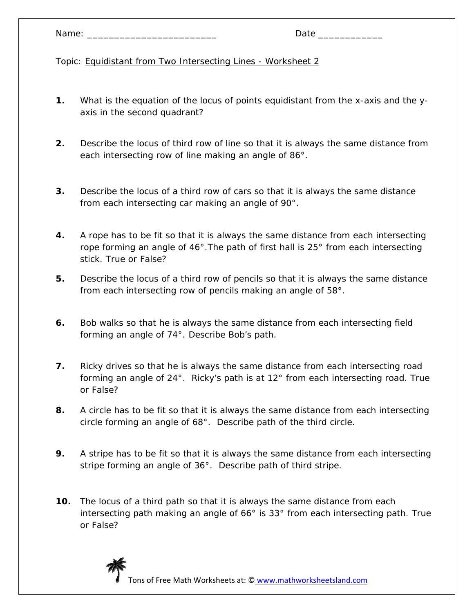- **1.** What is the equation of the locus of points equidistant from the x-axis and the yaxis in the second quadrant?
- **2.** Describe the locus of third row of line so that it is always the same distance from each intersecting row of line making an angle of 86°.
- **3.** Describe the locus of a third row of cars so that it is always the same distance from each intersecting car making an angle of 90°.
- **4.** A rope has to be fit so that it is always the same distance from each intersecting rope forming an angle of 46°.The path of first hall is 25° from each intersecting stick. True or False?
- **5.** Describe the locus of a third row of pencils so that it is always the same distance from each intersecting row of pencils making an angle of 58°.
- **6.** Bob walks so that he is always the same distance from each intersecting field forming an angle of 74°. Describe Bob's path.
- **7.** Ricky drives so that he is always the same distance from each intersecting road forming an angle of 24°. Ricky's path is at 12° from each intersecting road. True or False?
- **8.** A circle has to be fit so that it is always the same distance from each intersecting circle forming an angle of 68°. Describe path of the third circle.
- **9.** A stripe has to be fit so that it is always the same distance from each intersecting stripe forming an angle of 36°. Describe path of third stripe.
- **10.** The locus of a third path so that it is always the same distance from each intersecting path making an angle of 66° is 33° from each intersecting path. True or False?

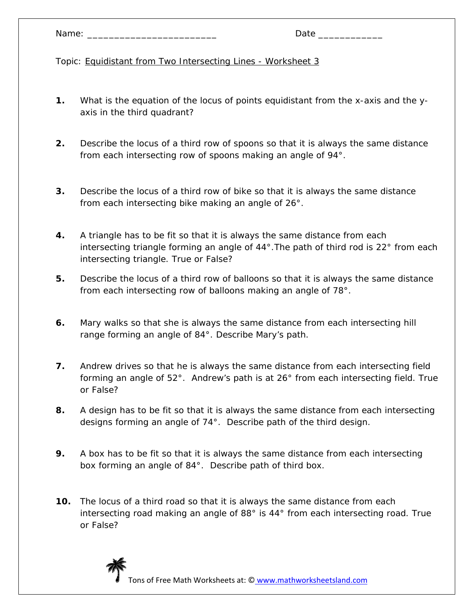- **1.** What is the equation of the locus of points equidistant from the x-axis and the yaxis in the third quadrant?
- **2.** Describe the locus of a third row of spoons so that it is always the same distance from each intersecting row of spoons making an angle of 94°.
- **3.** Describe the locus of a third row of bike so that it is always the same distance from each intersecting bike making an angle of 26°.
- **4.** A triangle has to be fit so that it is always the same distance from each intersecting triangle forming an angle of 44°.The path of third rod is 22° from each intersecting triangle. True or False?
- **5.** Describe the locus of a third row of balloons so that it is always the same distance from each intersecting row of balloons making an angle of 78°.
- **6.** Mary walks so that she is always the same distance from each intersecting hill range forming an angle of 84°. Describe Mary's path.
- **7.** Andrew drives so that he is always the same distance from each intersecting field forming an angle of 52°. Andrew's path is at 26° from each intersecting field. True or False?
- **8.** A design has to be fit so that it is always the same distance from each intersecting designs forming an angle of 74°. Describe path of the third design.
- **9.** A box has to be fit so that it is always the same distance from each intersecting box forming an angle of 84°. Describe path of third box.
- **10.** The locus of a third road so that it is always the same distance from each intersecting road making an angle of 88° is 44° from each intersecting road. True or False?

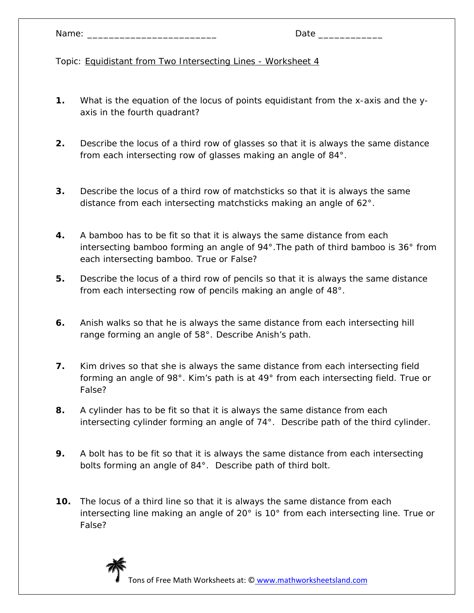- **1.** What is the equation of the locus of points equidistant from the x-axis and the yaxis in the fourth quadrant?
- **2.** Describe the locus of a third row of glasses so that it is always the same distance from each intersecting row of glasses making an angle of 84°.
- **3.** Describe the locus of a third row of matchsticks so that it is always the same distance from each intersecting matchsticks making an angle of 62°.
- **4.** A bamboo has to be fit so that it is always the same distance from each intersecting bamboo forming an angle of 94°.The path of third bamboo is 36° from each intersecting bamboo. True or False?
- **5.** Describe the locus of a third row of pencils so that it is always the same distance from each intersecting row of pencils making an angle of 48°.
- **6.** Anish walks so that he is always the same distance from each intersecting hill range forming an angle of 58°. Describe Anish's path.
- **7.** Kim drives so that she is always the same distance from each intersecting field forming an angle of 98°. Kim's path is at 49° from each intersecting field. True or False?
- **8.** A cylinder has to be fit so that it is always the same distance from each intersecting cylinder forming an angle of 74°. Describe path of the third cylinder.
- **9.** A bolt has to be fit so that it is always the same distance from each intersecting bolts forming an angle of 84°. Describe path of third bolt.
- **10.** The locus of a third line so that it is always the same distance from each intersecting line making an angle of 20° is 10° from each intersecting line. True or False?